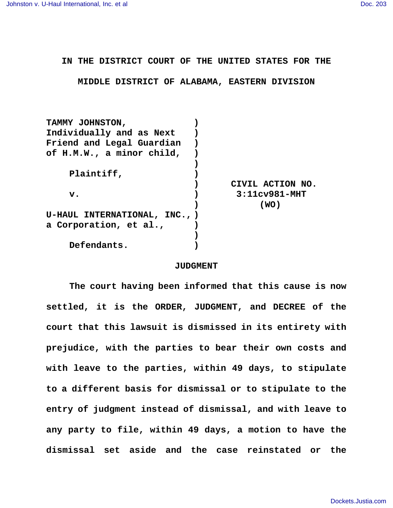**IN THE DISTRICT COURT OF THE UNITED STATES FOR THE**

**MIDDLE DISTRICT OF ALABAMA, EASTERN DIVISION**

| CIVIL ACTION NO. |
|------------------|
| $3:11cv981-MHT$  |
| (WO)             |
|                  |
|                  |
|                  |
|                  |

## **JUDGMENT**

**The court having been informed that this cause is now settled, it is the ORDER, JUDGMENT, and DECREE of the court that this lawsuit is dismissed in its entirety with prejudice, with the parties to bear their own costs and with leave to the parties, within 49 days, to stipulate to a different basis for dismissal or to stipulate to the entry of judgment instead of dismissal, and with leave to any party to file, within 49 days, a motion to have the dismissal set aside and the case reinstated or the**